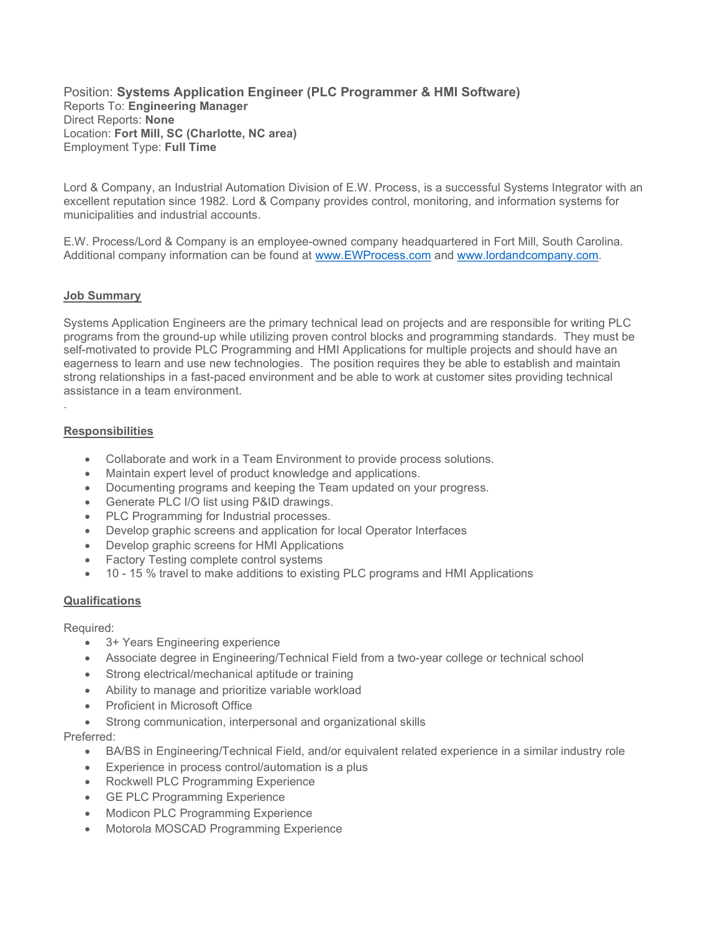Position: Systems Application Engineer (PLC Programmer & HMI Software) Reports To: Engineering Manager Direct Reports: None Location: Fort Mill, SC (Charlotte, NC area) Employment Type: Full Time

Lord & Company, an Industrial Automation Division of E.W. Process, is a successful Systems Integrator with an excellent reputation since 1982. Lord & Company provides control, monitoring, and information systems for municipalities and industrial accounts.

E.W. Process/Lord & Company is an employee-owned company headquartered in Fort Mill, South Carolina. Additional company information can be found at www.EWProcess.com and www.lordandcompany.com.

### Job Summary

Systems Application Engineers are the primary technical lead on projects and are responsible for writing PLC programs from the ground-up while utilizing proven control blocks and programming standards. They must be self-motivated to provide PLC Programming and HMI Applications for multiple projects and should have an eagerness to learn and use new technologies. The position requires they be able to establish and maintain strong relationships in a fast-paced environment and be able to work at customer sites providing technical assistance in a team environment.

## **Responsibilities**

.

- Collaborate and work in a Team Environment to provide process solutions.
- Maintain expert level of product knowledge and applications.
- Documenting programs and keeping the Team updated on your progress.
- Generate PLC I/O list using P&ID drawings.
- PLC Programming for Industrial processes.
- Develop graphic screens and application for local Operator Interfaces
- Develop graphic screens for HMI Applications
- Factory Testing complete control systems
- 10 15 % travel to make additions to existing PLC programs and HMI Applications

### **Qualifications**

### Required:

- 3+ Years Engineering experience
- Associate degree in Engineering/Technical Field from a two-year college or technical school
- Strong electrical/mechanical aptitude or training
- Ability to manage and prioritize variable workload
- Proficient in Microsoft Office
- Strong communication, interpersonal and organizational skills

### Preferred:

- BA/BS in Engineering/Technical Field, and/or equivalent related experience in a similar industry role
- Experience in process control/automation is a plus
- Rockwell PLC Programming Experience
- GE PLC Programming Experience
- Modicon PLC Programming Experience
- Motorola MOSCAD Programming Experience